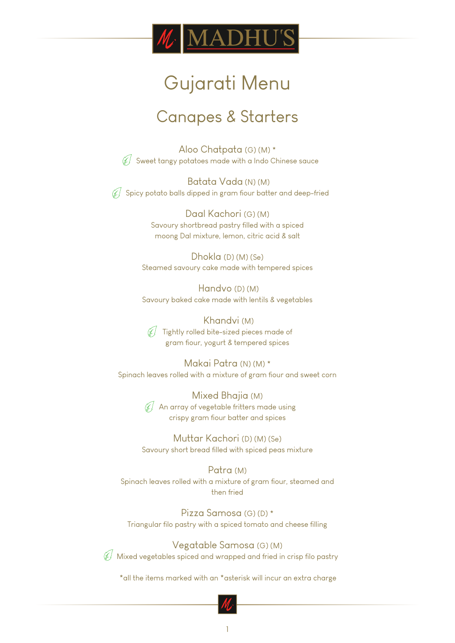

## Gujarati Menu

### Canapes & Starters

Aloo Chatpata (G) (M) \*  $\mathcal{J}$  Sweet tangy potatoes made with a Indo Chinese sauce

 Batata Vada (N) (M)  $\mathcal{J}$  Spicy potato balls dipped in gram fiour batter and deep-fried

> Daal Kachori (G) (M) Savoury shortbread pastry filled with a spiced moong Dal mixture, lemon, citric acid & salt

Dhokla (D) (M) (Se) Steamed savoury cake made with tempered spices

 Handvo (D) (M) Savoury baked cake made with lentils & vegetables

 Khandvi (M)  $\mathscr{A}$  Tightly rolled bite-sized pieces made of gram flour, yogurt & tempered spices

Makai Patra (N) (M) \* Spinach leaves rolled with a mixture of gram fiour and sweet corn

> Mixed Bhajia (M)  $\mathcal{A}$  An array of vegetable fritters made using crispy gram flour batter and spices

Muttar Kachori (D) (M) (Se) Savoury short bread filled with spiced peas mixture

Patra (M) Spinach leaves rolled with a mixture of gram fiour, steamed and then fried

Pizza Samosa (G) (D) \* Triangular filo pastry with a spiced tomato and cheese filling

Vegatable Samosa (G) (M) Mixed vegetables spiced and wrapped and fried in crisp filo pastry

\*all the items marked with an \*asterisk will incur an extra charge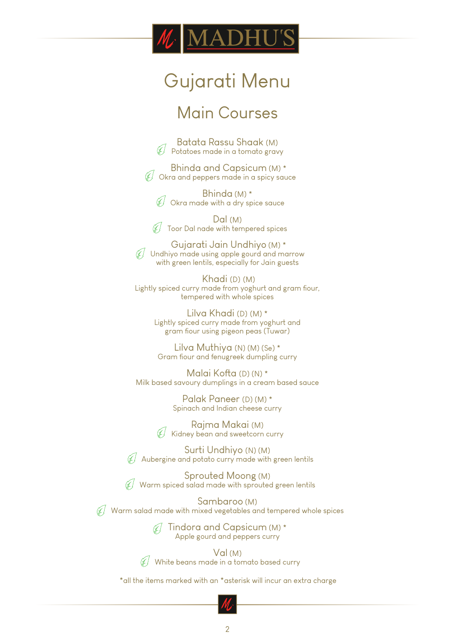# DH

## Gujarati Menu

### Main Courses

Batata Rassu Shaak (M)  $\hat{\mathcal{H}}$  Potatoes made in a tomato gravy

 Bhinda and Capsicum (M) \*  $\hat{\mathcal{A}}$  Okra and peppers made in a spicy sauce

Bhinda (M) \* Okra made with a dry spice sauce

Dal (M) ⊯∫ Toor Dal nade with tempered spices

 Gujarati Jain Undhiyo (M) \*  $\mathcal{F}$  Undhiyo made using apple gourd and marrow with green lentils, especially for Jain guests

 Khadi (D) (M) Lightly spiced curry made from yoghurt and gram fiour, tempered with whole spices

> Lilva Khadi (D) (M) \* Lightly spiced curry made from yoghurt and gram flour using pigeon peas (Tuwar)

Lilva Muthiya (N) (M) (Se) \* Gram fiour and fenugreek dumpling curry

Malai Kofta (D) (N) \* Milk based savoury dumplings in a cream based sauce

> Palak Paneer (D) (M) \* Spinach and Indian cheese curry

Rajma Makai (M)  $\widetilde{\mathscr{C}}$  Kidney bean and sweetcorn curry

Surti Undhiyo (N) (M) Œ Aubergine and potato curry made with green lentils

Sprouted Moong (M) Warm spiced salad made with sprouted green lentils

Sambaroo (M)  $\mathcal{U}$  Warm salad made with mixed vegetables and tempered whole spices

> $\mathcal{A}$  Tindora and Capsicum (M)\* Apple gourd and peppers curry

Val (M)  $\mathcal{N}$  White beans made in a tomato based curry

\*all the items marked with an \*asterisk will incur an extra charge